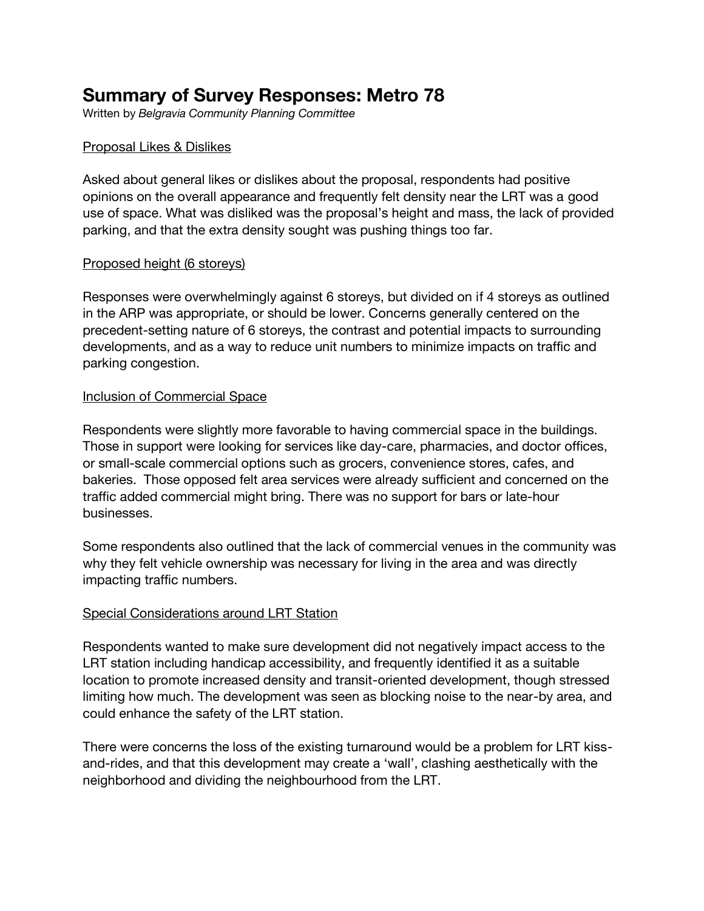# **Summary of Survey Responses: Metro 78**

Written by *Belgravia Community Planning Committee*

# Proposal Likes & Dislikes

Asked about general likes or dislikes about the proposal, respondents had positive opinions on the overall appearance and frequently felt density near the LRT was a good use of space. What was disliked was the proposal's height and mass, the lack of provided parking, and that the extra density sought was pushing things too far.

# Proposed height (6 storeys)

Responses were overwhelmingly against 6 storeys, but divided on if 4 storeys as outlined in the ARP was appropriate, or should be lower. Concerns generally centered on the precedent-setting nature of 6 storeys, the contrast and potential impacts to surrounding developments, and as a way to reduce unit numbers to minimize impacts on traffic and parking congestion.

# Inclusion of Commercial Space

Respondents were slightly more favorable to having commercial space in the buildings. Those in support were looking for services like day-care, pharmacies, and doctor offices, or small-scale commercial options such as grocers, convenience stores, cafes, and bakeries. Those opposed felt area services were already sufficient and concerned on the traffic added commercial might bring. There was no support for bars or late-hour businesses.

Some respondents also outlined that the lack of commercial venues in the community was why they felt vehicle ownership was necessary for living in the area and was directly impacting traffic numbers.

### Special Considerations around LRT Station

Respondents wanted to make sure development did not negatively impact access to the LRT station including handicap accessibility, and frequently identified it as a suitable location to promote increased density and transit-oriented development, though stressed limiting how much. The development was seen as blocking noise to the near-by area, and could enhance the safety of the LRT station.

There were concerns the loss of the existing turnaround would be a problem for LRT kissand-rides, and that this development may create a 'wall', clashing aesthetically with the neighborhood and dividing the neighbourhood from the LRT.